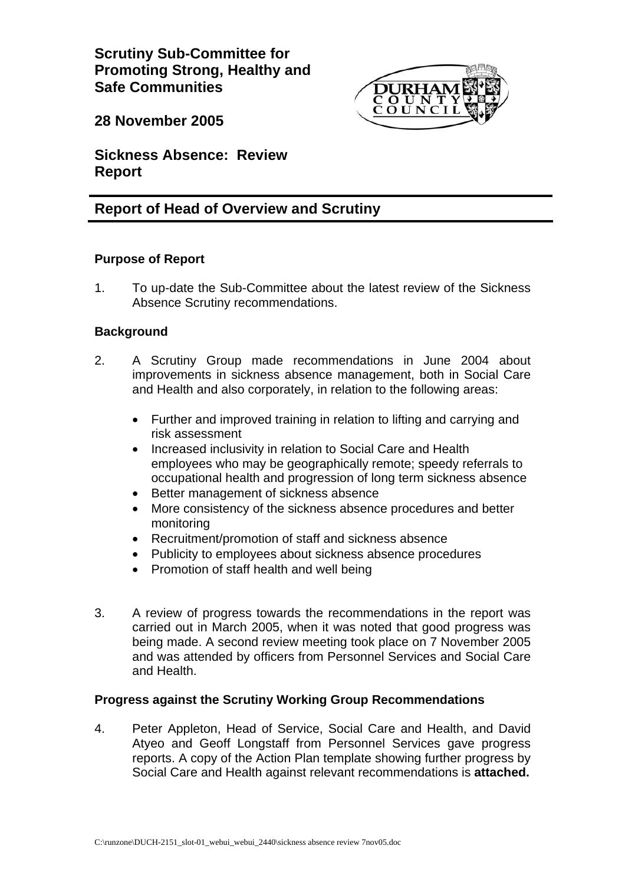**Scrutiny Sub-Committee for Promoting Strong, Healthy and Safe Communities** 



**28 November 2005** 

**Sickness Absence: Review Report** 

# **Report of Head of Overview and Scrutiny**

# **Purpose of Report**

1. To up-date the Sub-Committee about the latest review of the Sickness Absence Scrutiny recommendations.

# **Background**

- 2. A Scrutiny Group made recommendations in June 2004 about improvements in sickness absence management, both in Social Care and Health and also corporately, in relation to the following areas:
	- Further and improved training in relation to lifting and carrying and risk assessment
	- Increased inclusivity in relation to Social Care and Health employees who may be geographically remote; speedy referrals to occupational health and progression of long term sickness absence
	- Better management of sickness absence
	- More consistency of the sickness absence procedures and better monitoring
	- Recruitment/promotion of staff and sickness absence
	- Publicity to employees about sickness absence procedures
	- Promotion of staff health and well being
- 3. A review of progress towards the recommendations in the report was carried out in March 2005, when it was noted that good progress was being made. A second review meeting took place on 7 November 2005 and was attended by officers from Personnel Services and Social Care and Health.

## **Progress against the Scrutiny Working Group Recommendations**

4. Peter Appleton, Head of Service, Social Care and Health, and David Atyeo and Geoff Longstaff from Personnel Services gave progress reports. A copy of the Action Plan template showing further progress by Social Care and Health against relevant recommendations is **attached.**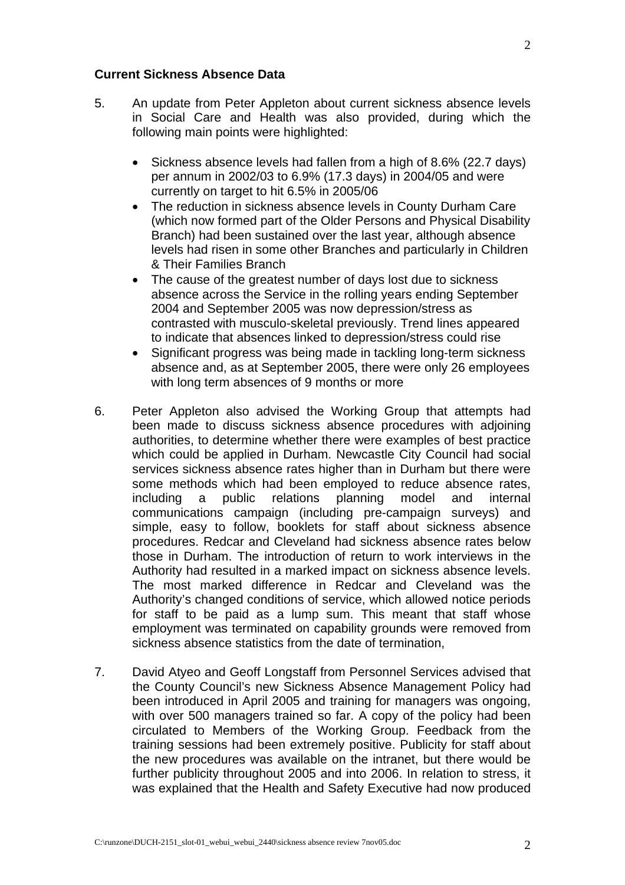#### **Current Sickness Absence Data**

- 5. An update from Peter Appleton about current sickness absence levels in Social Care and Health was also provided, during which the following main points were highlighted:
	- Sickness absence levels had fallen from a high of 8.6% (22.7 days) per annum in 2002/03 to 6.9% (17.3 days) in 2004/05 and were currently on target to hit 6.5% in 2005/06
	- The reduction in sickness absence levels in County Durham Care (which now formed part of the Older Persons and Physical Disability Branch) had been sustained over the last year, although absence levels had risen in some other Branches and particularly in Children & Their Families Branch
	- The cause of the greatest number of days lost due to sickness absence across the Service in the rolling years ending September 2004 and September 2005 was now depression/stress as contrasted with musculo-skeletal previously. Trend lines appeared to indicate that absences linked to depression/stress could rise
	- Significant progress was being made in tackling long-term sickness absence and, as at September 2005, there were only 26 employees with long term absences of 9 months or more
- 6. Peter Appleton also advised the Working Group that attempts had been made to discuss sickness absence procedures with adjoining authorities, to determine whether there were examples of best practice which could be applied in Durham. Newcastle City Council had social services sickness absence rates higher than in Durham but there were some methods which had been employed to reduce absence rates, including a public relations planning model and internal communications campaign (including pre-campaign surveys) and simple, easy to follow, booklets for staff about sickness absence procedures. Redcar and Cleveland had sickness absence rates below those in Durham. The introduction of return to work interviews in the Authority had resulted in a marked impact on sickness absence levels. The most marked difference in Redcar and Cleveland was the Authority's changed conditions of service, which allowed notice periods for staff to be paid as a lump sum. This meant that staff whose employment was terminated on capability grounds were removed from sickness absence statistics from the date of termination,
- 7. David Atyeo and Geoff Longstaff from Personnel Services advised that the County Council's new Sickness Absence Management Policy had been introduced in April 2005 and training for managers was ongoing, with over 500 managers trained so far. A copy of the policy had been circulated to Members of the Working Group. Feedback from the training sessions had been extremely positive. Publicity for staff about the new procedures was available on the intranet, but there would be further publicity throughout 2005 and into 2006. In relation to stress, it was explained that the Health and Safety Executive had now produced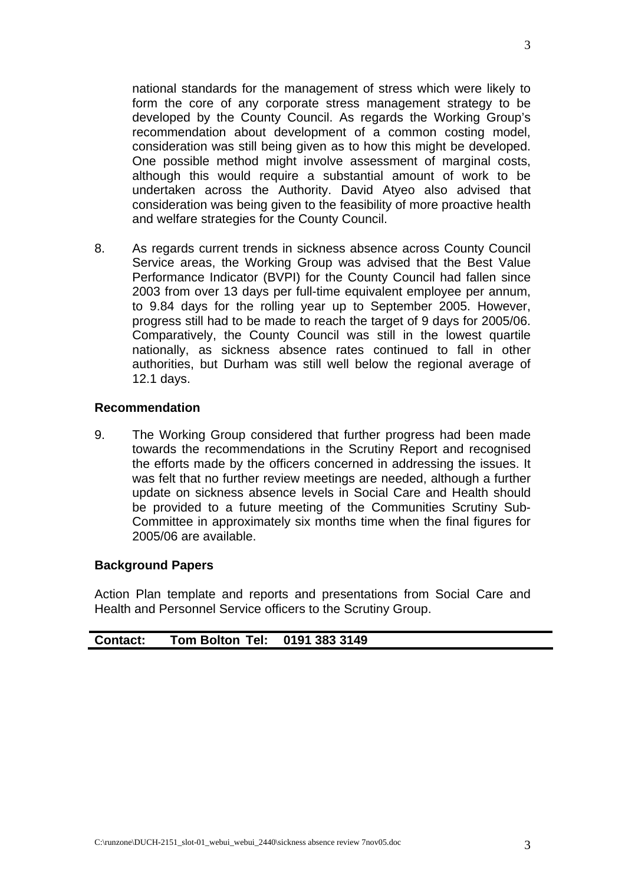national standards for the management of stress which were likely to form the core of any corporate stress management strategy to be developed by the County Council. As regards the Working Group's recommendation about development of a common costing model, consideration was still being given as to how this might be developed. One possible method might involve assessment of marginal costs, although this would require a substantial amount of work to be undertaken across the Authority. David Atyeo also advised that consideration was being given to the feasibility of more proactive health and welfare strategies for the County Council.

8. As regards current trends in sickness absence across County Council Service areas, the Working Group was advised that the Best Value Performance Indicator (BVPI) for the County Council had fallen since 2003 from over 13 days per full-time equivalent employee per annum, to 9.84 days for the rolling year up to September 2005. However, progress still had to be made to reach the target of 9 days for 2005/06. Comparatively, the County Council was still in the lowest quartile nationally, as sickness absence rates continued to fall in other authorities, but Durham was still well below the regional average of 12.1 days.

#### **Recommendation**

9. The Working Group considered that further progress had been made towards the recommendations in the Scrutiny Report and recognised the efforts made by the officers concerned in addressing the issues. It was felt that no further review meetings are needed, although a further update on sickness absence levels in Social Care and Health should be provided to a future meeting of the Communities Scrutiny Sub-Committee in approximately six months time when the final figures for 2005/06 are available.

## **Background Papers**

Action Plan template and reports and presentations from Social Care and Health and Personnel Service officers to the Scrutiny Group.

| Tom Bolton Tel: 0191 383 3149<br><b>Contact:</b> |  |
|--------------------------------------------------|--|
|--------------------------------------------------|--|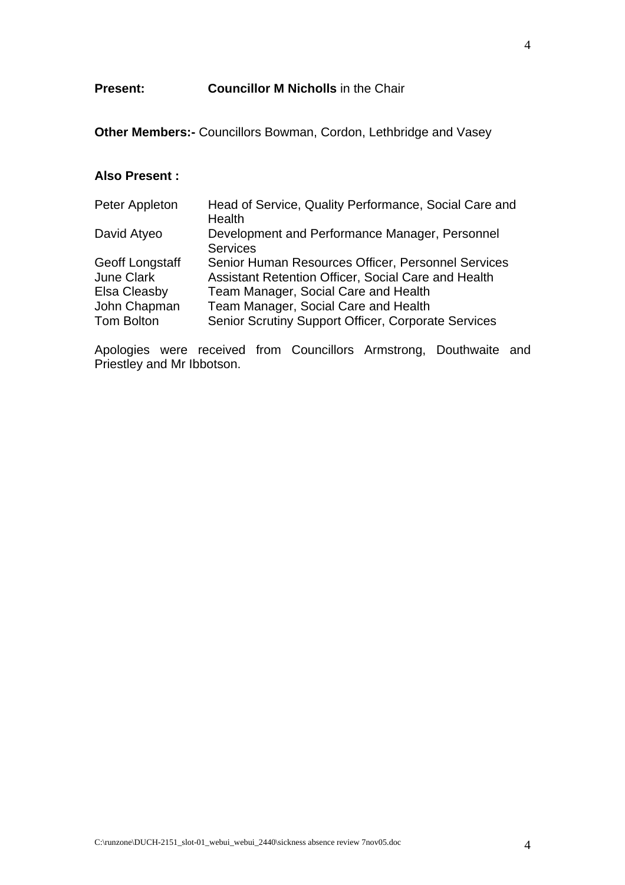**Other Members:-** Councillors Bowman, Cordon, Lethbridge and Vasey

### **Also Present :**

| Peter Appleton                                                                     | Head of Service, Quality Performance, Social Care and<br>Health                                                                                                                                                                                  |
|------------------------------------------------------------------------------------|--------------------------------------------------------------------------------------------------------------------------------------------------------------------------------------------------------------------------------------------------|
| David Atyeo                                                                        | Development and Performance Manager, Personnel<br><b>Services</b>                                                                                                                                                                                |
| Geoff Longstaff<br><b>June Clark</b><br>Elsa Cleasby<br>John Chapman<br>Tom Bolton | Senior Human Resources Officer, Personnel Services<br>Assistant Retention Officer, Social Care and Health<br>Team Manager, Social Care and Health<br>Team Manager, Social Care and Health<br>Senior Scrutiny Support Officer, Corporate Services |

Apologies were received from Councillors Armstrong, Douthwaite and Priestley and Mr Ibbotson.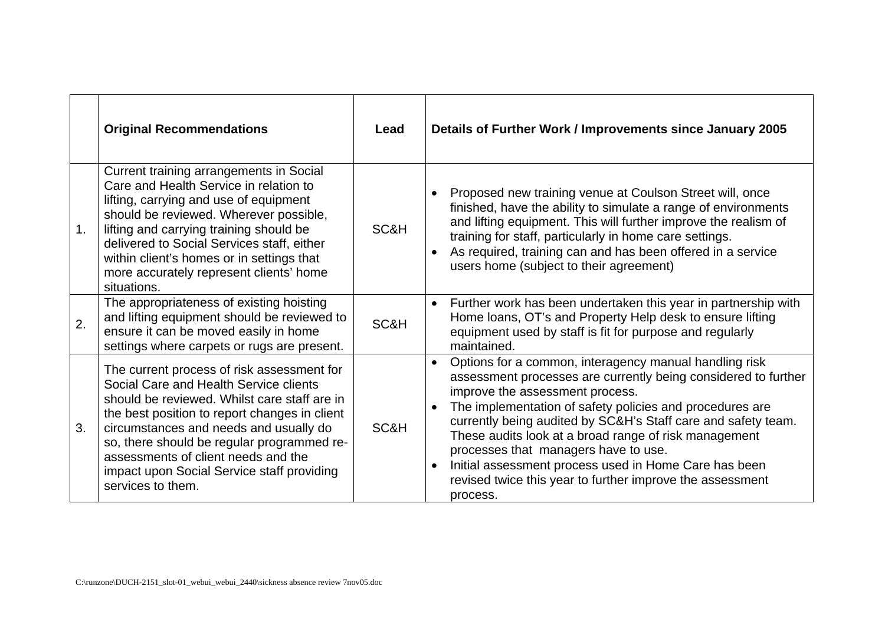|                  | <b>Original Recommendations</b>                                                                                                                                                                                                                                                                                                                                                         | Lead | Details of Further Work / Improvements since January 2005                                                                                                                                                                                                                                                                                                                                                                                                                                                                                             |
|------------------|-----------------------------------------------------------------------------------------------------------------------------------------------------------------------------------------------------------------------------------------------------------------------------------------------------------------------------------------------------------------------------------------|------|-------------------------------------------------------------------------------------------------------------------------------------------------------------------------------------------------------------------------------------------------------------------------------------------------------------------------------------------------------------------------------------------------------------------------------------------------------------------------------------------------------------------------------------------------------|
| $\mathbf 1$ .    | Current training arrangements in Social<br>Care and Health Service in relation to<br>lifting, carrying and use of equipment<br>should be reviewed. Wherever possible,<br>lifting and carrying training should be<br>delivered to Social Services staff, either<br>within client's homes or in settings that<br>more accurately represent clients' home<br>situations.                   | SC&H | Proposed new training venue at Coulson Street will, once<br>$\bullet$<br>finished, have the ability to simulate a range of environments<br>and lifting equipment. This will further improve the realism of<br>training for staff, particularly in home care settings.<br>As required, training can and has been offered in a service<br>users home (subject to their agreement)                                                                                                                                                                       |
| $\overline{2}$ . | The appropriateness of existing hoisting<br>and lifting equipment should be reviewed to<br>ensure it can be moved easily in home<br>settings where carpets or rugs are present.                                                                                                                                                                                                         | SC&H | Further work has been undertaken this year in partnership with<br>$\bullet$<br>Home loans, OT's and Property Help desk to ensure lifting<br>equipment used by staff is fit for purpose and regularly<br>maintained.                                                                                                                                                                                                                                                                                                                                   |
| 3.               | The current process of risk assessment for<br>Social Care and Health Service clients<br>should be reviewed. Whilst care staff are in<br>the best position to report changes in client<br>circumstances and needs and usually do<br>so, there should be regular programmed re-<br>assessments of client needs and the<br>impact upon Social Service staff providing<br>services to them. | SC&H | Options for a common, interagency manual handling risk<br>$\bullet$<br>assessment processes are currently being considered to further<br>improve the assessment process.<br>The implementation of safety policies and procedures are<br>$\bullet$<br>currently being audited by SC&H's Staff care and safety team.<br>These audits look at a broad range of risk management<br>processes that managers have to use.<br>Initial assessment process used in Home Care has been<br>revised twice this year to further improve the assessment<br>process. |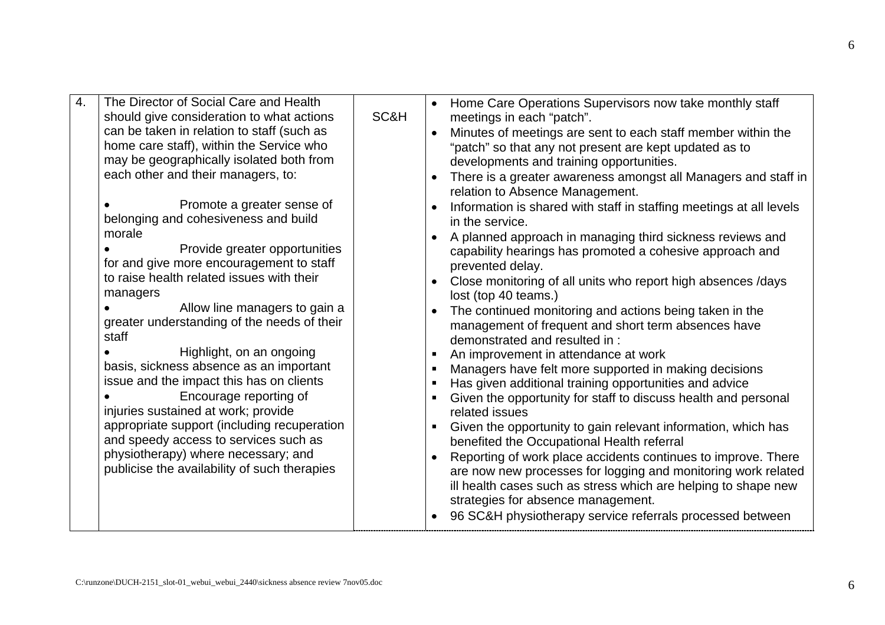| The Director of Social Care and Health<br>$\overline{4}$ .<br>should give consideration to what actions<br>can be taken in relation to staff (such as<br>home care staff), within the Service who<br>may be geographically isolated both from<br>each other and their managers, to:<br>Promote a greater sense of<br>belonging and cohesiveness and build<br>morale<br>Provide greater opportunities<br>for and give more encouragement to staff<br>to raise health related issues with their<br>managers<br>Allow line managers to gain a<br>greater understanding of the needs of their<br>staff<br>Highlight, on an ongoing<br>basis, sickness absence as an important<br>issue and the impact this has on clients<br>Encourage reporting of<br>injuries sustained at work; provide<br>appropriate support (including recuperation<br>and speedy access to services such as<br>physiotherapy) where necessary; and<br>publicise the availability of such therapies | SC&H | Home Care Operations Supervisors now take monthly staff<br>meetings in each "patch".<br>Minutes of meetings are sent to each staff member within the<br>"patch" so that any not present are kept updated as to<br>developments and training opportunities.<br>There is a greater awareness amongst all Managers and staff in<br>$\bullet$<br>relation to Absence Management.<br>Information is shared with staff in staffing meetings at all levels<br>$\bullet$<br>in the service.<br>A planned approach in managing third sickness reviews and<br>capability hearings has promoted a cohesive approach and<br>prevented delay.<br>Close monitoring of all units who report high absences /days<br>$\bullet$<br>lost (top 40 teams.)<br>The continued monitoring and actions being taken in the<br>$\bullet$<br>management of frequent and short term absences have<br>demonstrated and resulted in:<br>An improvement in attendance at work<br>$\blacksquare$<br>Managers have felt more supported in making decisions<br>$\blacksquare$<br>Has given additional training opportunities and advice<br>$\blacksquare$<br>Given the opportunity for staff to discuss health and personal<br>related issues<br>Given the opportunity to gain relevant information, which has<br>benefited the Occupational Health referral<br>Reporting of work place accidents continues to improve. There<br>are now new processes for logging and monitoring work related<br>ill health cases such as stress which are helping to shape new<br>strategies for absence management.<br>96 SC&H physiotherapy service referrals processed between |
|-----------------------------------------------------------------------------------------------------------------------------------------------------------------------------------------------------------------------------------------------------------------------------------------------------------------------------------------------------------------------------------------------------------------------------------------------------------------------------------------------------------------------------------------------------------------------------------------------------------------------------------------------------------------------------------------------------------------------------------------------------------------------------------------------------------------------------------------------------------------------------------------------------------------------------------------------------------------------|------|----------------------------------------------------------------------------------------------------------------------------------------------------------------------------------------------------------------------------------------------------------------------------------------------------------------------------------------------------------------------------------------------------------------------------------------------------------------------------------------------------------------------------------------------------------------------------------------------------------------------------------------------------------------------------------------------------------------------------------------------------------------------------------------------------------------------------------------------------------------------------------------------------------------------------------------------------------------------------------------------------------------------------------------------------------------------------------------------------------------------------------------------------------------------------------------------------------------------------------------------------------------------------------------------------------------------------------------------------------------------------------------------------------------------------------------------------------------------------------------------------------------------------------------------------------------------------------------------------------------------------------|
|-----------------------------------------------------------------------------------------------------------------------------------------------------------------------------------------------------------------------------------------------------------------------------------------------------------------------------------------------------------------------------------------------------------------------------------------------------------------------------------------------------------------------------------------------------------------------------------------------------------------------------------------------------------------------------------------------------------------------------------------------------------------------------------------------------------------------------------------------------------------------------------------------------------------------------------------------------------------------|------|----------------------------------------------------------------------------------------------------------------------------------------------------------------------------------------------------------------------------------------------------------------------------------------------------------------------------------------------------------------------------------------------------------------------------------------------------------------------------------------------------------------------------------------------------------------------------------------------------------------------------------------------------------------------------------------------------------------------------------------------------------------------------------------------------------------------------------------------------------------------------------------------------------------------------------------------------------------------------------------------------------------------------------------------------------------------------------------------------------------------------------------------------------------------------------------------------------------------------------------------------------------------------------------------------------------------------------------------------------------------------------------------------------------------------------------------------------------------------------------------------------------------------------------------------------------------------------------------------------------------------------|

6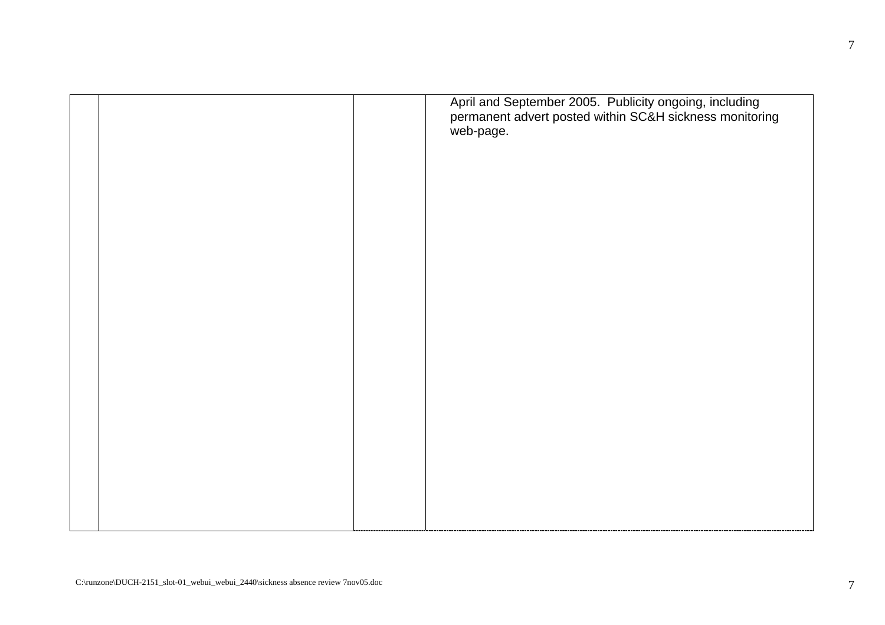|  | April and September 2005. Publicity ongoing, including<br>permanent advert posted within SC&H sickness monitoring<br>web-page. |
|--|--------------------------------------------------------------------------------------------------------------------------------|
|  |                                                                                                                                |
|  |                                                                                                                                |
|  |                                                                                                                                |
|  |                                                                                                                                |
|  |                                                                                                                                |
|  |                                                                                                                                |
|  |                                                                                                                                |
|  |                                                                                                                                |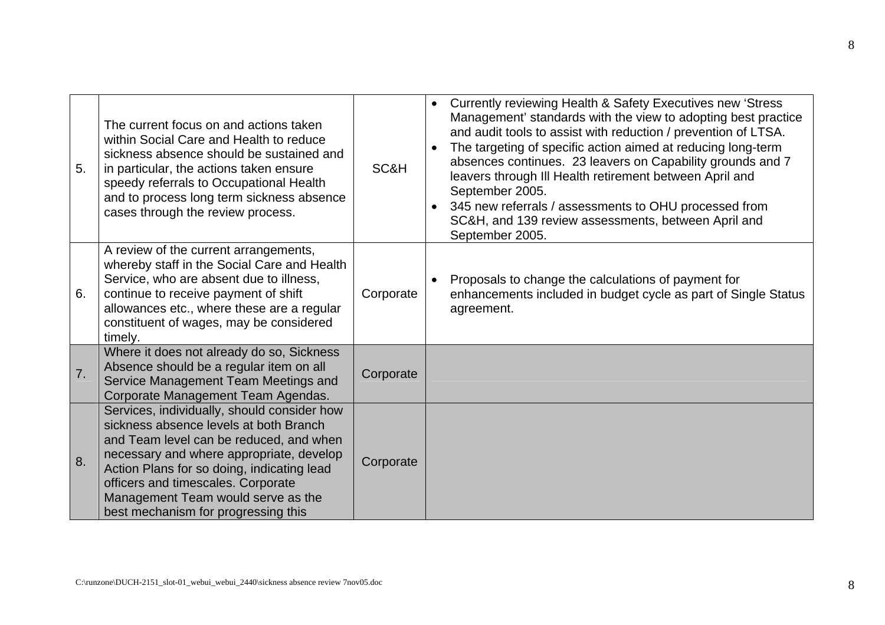| 5. | The current focus on and actions taken<br>within Social Care and Health to reduce<br>sickness absence should be sustained and<br>in particular, the actions taken ensure<br>speedy referrals to Occupational Health<br>and to process long term sickness absence<br>cases through the review process.                                         | SC&H      | Currently reviewing Health & Safety Executives new 'Stress<br>$\bullet$<br>Management' standards with the view to adopting best practice<br>and audit tools to assist with reduction / prevention of LTSA.<br>The targeting of specific action aimed at reducing long-term<br>$\bullet$<br>absences continues. 23 leavers on Capability grounds and 7<br>leavers through III Health retirement between April and<br>September 2005.<br>345 new referrals / assessments to OHU processed from<br>SC&H, and 139 review assessments, between April and<br>September 2005. |
|----|-----------------------------------------------------------------------------------------------------------------------------------------------------------------------------------------------------------------------------------------------------------------------------------------------------------------------------------------------|-----------|------------------------------------------------------------------------------------------------------------------------------------------------------------------------------------------------------------------------------------------------------------------------------------------------------------------------------------------------------------------------------------------------------------------------------------------------------------------------------------------------------------------------------------------------------------------------|
| 6. | A review of the current arrangements,<br>whereby staff in the Social Care and Health<br>Service, who are absent due to illness,<br>continue to receive payment of shift<br>allowances etc., where these are a regular<br>constituent of wages, may be considered<br>timely.                                                                   | Corporate | Proposals to change the calculations of payment for<br>enhancements included in budget cycle as part of Single Status<br>agreement.                                                                                                                                                                                                                                                                                                                                                                                                                                    |
| 7. | Where it does not already do so, Sickness<br>Absence should be a regular item on all<br>Service Management Team Meetings and<br>Corporate Management Team Agendas.                                                                                                                                                                            | Corporate |                                                                                                                                                                                                                                                                                                                                                                                                                                                                                                                                                                        |
| 8. | Services, individually, should consider how<br>sickness absence levels at both Branch<br>and Team level can be reduced, and when<br>necessary and where appropriate, develop<br>Action Plans for so doing, indicating lead<br>officers and timescales. Corporate<br>Management Team would serve as the<br>best mechanism for progressing this | Corporate |                                                                                                                                                                                                                                                                                                                                                                                                                                                                                                                                                                        |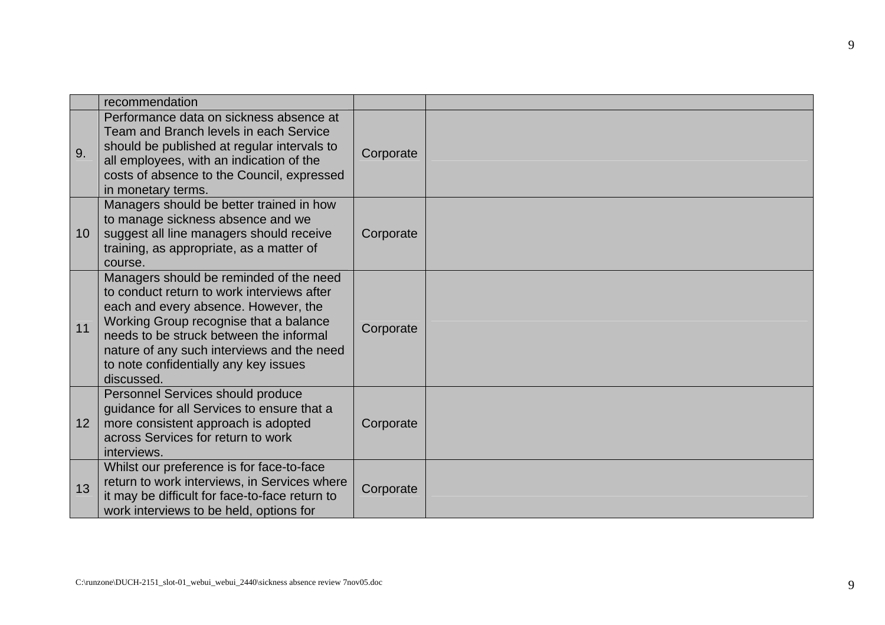|                 | recommendation                                                                                                                                                                                                                                                                                                          |           |  |
|-----------------|-------------------------------------------------------------------------------------------------------------------------------------------------------------------------------------------------------------------------------------------------------------------------------------------------------------------------|-----------|--|
| 9.              | Performance data on sickness absence at<br>Team and Branch levels in each Service<br>should be published at regular intervals to<br>all employees, with an indication of the<br>costs of absence to the Council, expressed<br>in monetary terms.                                                                        | Corporate |  |
| 10 <sup>1</sup> | Managers should be better trained in how<br>to manage sickness absence and we<br>suggest all line managers should receive<br>training, as appropriate, as a matter of<br>course.                                                                                                                                        | Corporate |  |
| 11              | Managers should be reminded of the need<br>to conduct return to work interviews after<br>each and every absence. However, the<br>Working Group recognise that a balance<br>needs to be struck between the informal<br>nature of any such interviews and the need<br>to note confidentially any key issues<br>discussed. | Corporate |  |
| 12 <sup>2</sup> | Personnel Services should produce<br>guidance for all Services to ensure that a<br>more consistent approach is adopted<br>across Services for return to work<br>interviews.                                                                                                                                             | Corporate |  |
| 13              | Whilst our preference is for face-to-face<br>return to work interviews, in Services where<br>it may be difficult for face-to-face return to<br>work interviews to be held, options for                                                                                                                                  | Corporate |  |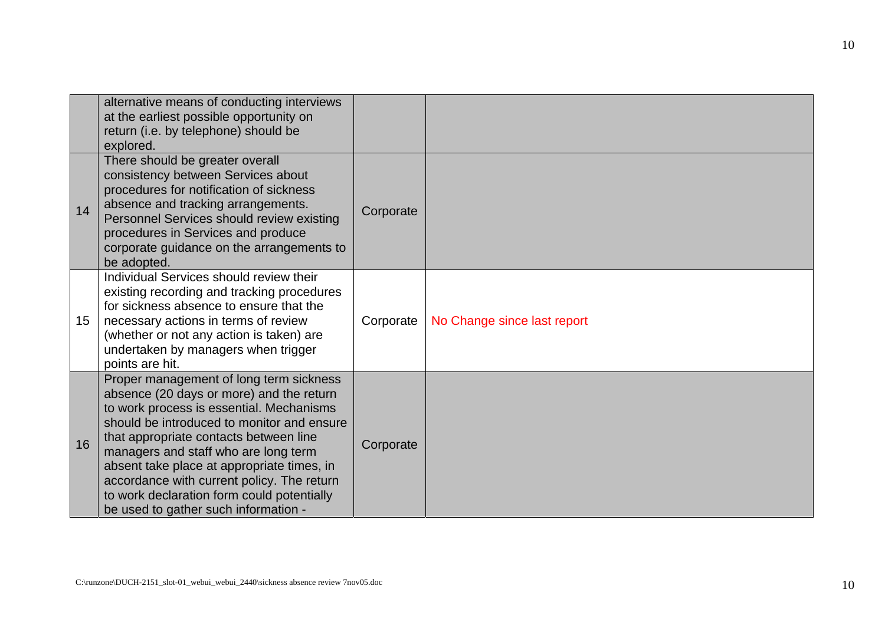|    | alternative means of conducting interviews<br>at the earliest possible opportunity on<br>return (i.e. by telephone) should be<br>explored.                                                                                                                                                                                                                                                                                                        |           |                             |
|----|---------------------------------------------------------------------------------------------------------------------------------------------------------------------------------------------------------------------------------------------------------------------------------------------------------------------------------------------------------------------------------------------------------------------------------------------------|-----------|-----------------------------|
| 14 | There should be greater overall<br>consistency between Services about<br>procedures for notification of sickness<br>absence and tracking arrangements.<br>Personnel Services should review existing<br>procedures in Services and produce<br>corporate guidance on the arrangements to<br>be adopted.                                                                                                                                             | Corporate |                             |
| 15 | Individual Services should review their<br>existing recording and tracking procedures<br>for sickness absence to ensure that the<br>necessary actions in terms of review<br>(whether or not any action is taken) are<br>undertaken by managers when trigger<br>points are hit.                                                                                                                                                                    | Corporate | No Change since last report |
| 16 | Proper management of long term sickness<br>absence (20 days or more) and the return<br>to work process is essential. Mechanisms<br>should be introduced to monitor and ensure<br>that appropriate contacts between line<br>managers and staff who are long term<br>absent take place at appropriate times, in<br>accordance with current policy. The return<br>to work declaration form could potentially<br>be used to gather such information - | Corporate |                             |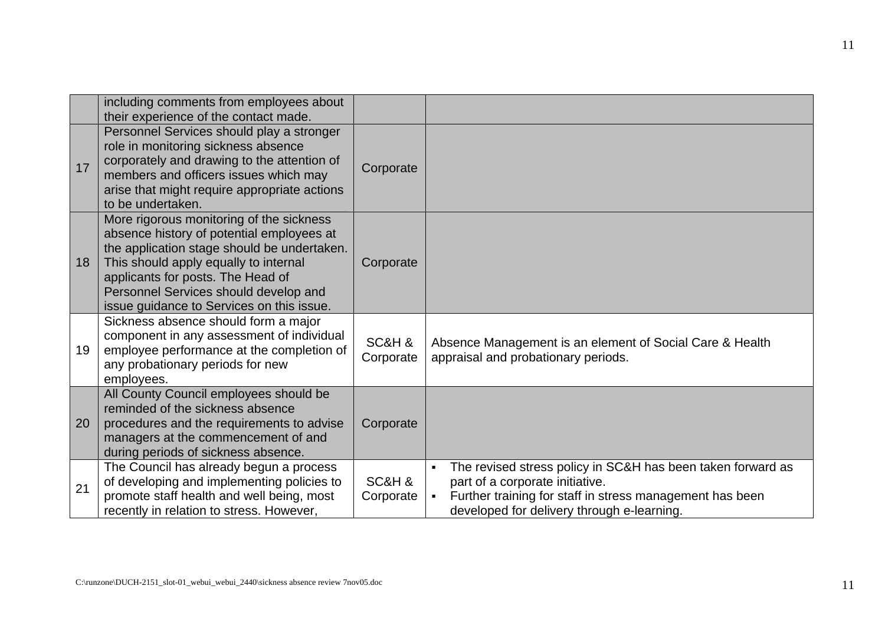|    | including comments from employees about<br>their experience of the contact made.                                                                                                                                                                                                                         |                     |                                                                                                                                                                                                                            |
|----|----------------------------------------------------------------------------------------------------------------------------------------------------------------------------------------------------------------------------------------------------------------------------------------------------------|---------------------|----------------------------------------------------------------------------------------------------------------------------------------------------------------------------------------------------------------------------|
| 17 | Personnel Services should play a stronger<br>role in monitoring sickness absence<br>corporately and drawing to the attention of<br>members and officers issues which may<br>arise that might require appropriate actions<br>to be undertaken.                                                            | Corporate           |                                                                                                                                                                                                                            |
| 18 | More rigorous monitoring of the sickness<br>absence history of potential employees at<br>the application stage should be undertaken.<br>This should apply equally to internal<br>applicants for posts. The Head of<br>Personnel Services should develop and<br>issue guidance to Services on this issue. | Corporate           |                                                                                                                                                                                                                            |
| 19 | Sickness absence should form a major<br>component in any assessment of individual<br>employee performance at the completion of<br>any probationary periods for new<br>employees.                                                                                                                         | SC&H &<br>Corporate | Absence Management is an element of Social Care & Health<br>appraisal and probationary periods.                                                                                                                            |
| 20 | All County Council employees should be<br>reminded of the sickness absence<br>procedures and the requirements to advise<br>managers at the commencement of and<br>during periods of sickness absence.                                                                                                    | Corporate           |                                                                                                                                                                                                                            |
| 21 | The Council has already begun a process<br>of developing and implementing policies to<br>promote staff health and well being, most<br>recently in relation to stress. However,                                                                                                                           | SC&H &<br>Corporate | The revised stress policy in SC&H has been taken forward as<br>$\blacksquare$<br>part of a corporate initiative.<br>Further training for staff in stress management has been<br>developed for delivery through e-learning. |